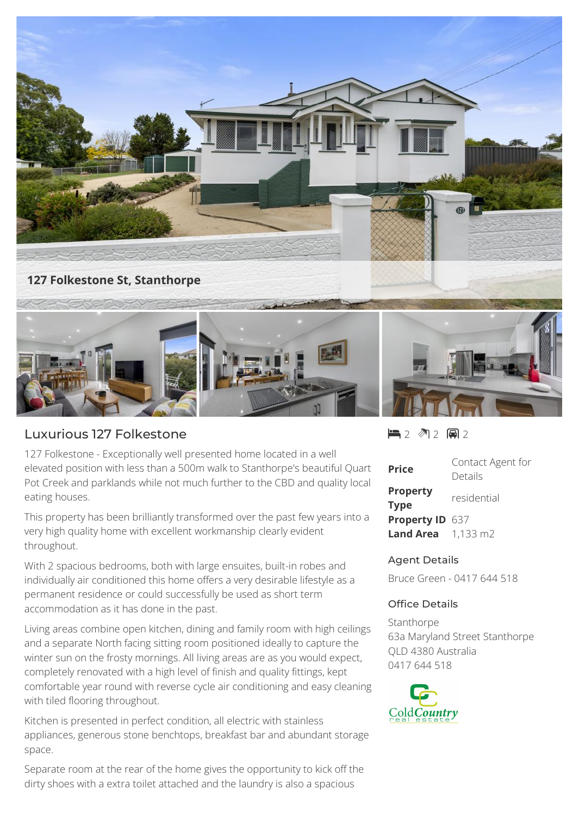

## Luxurious 127 Folkestone

127 Folkestone - Exceptionally well presented home located in a well elevated position with less than a 500m walk to Stanthorpe's beautiful Quart Pot Creek and parklands while not much further to the CBD and quality local eating houses.

This property has been brilliantly transformed over the past few years into a very high quality home with excellent workmanship clearly evident throughout.

With 2 spacious bedrooms, both with large ensuites, built-in robes and individually air conditioned this home offers a very desirable lifestyle as a permanent residence or could successfully be used as short term accommodation as it has done in the past.

Living areas combine open kitchen, dining and family room with high ceilings and a separate North facing sitting room positioned ideally to capture the winter sun on the frosty mornings. All living areas are as you would expect, completely renovated with a high level of finish and quality fittings, kept comfortable year round with reverse cycle air conditioning and easy cleaning with tiled flooring throughout.

Kitchen is presented in perfect condition, all electric with stainless appliances, generous stone benchtops, breakfast bar and abundant storage space.

Separate room at the rear of the home gives the opportunity to kick off the dirty shoes with a extra toilet attached and the laundry is also a spacious

 $2$   $2$   $2$   $2$   $2$   $2$ 

| Price                               | Contact Agent for<br>Details |
|-------------------------------------|------------------------------|
| <b>Property</b><br><b>Type</b>      | residential                  |
| Property ID 637                     |                              |
| <b>Land Area</b> $1,133 \text{ m2}$ |                              |

## Agent Details

Bruce Green - 0417 644 518

## Office Details

**Stanthorpe** 63a Maryland Street Stanthorpe QLD 4380 Australia 0417 644 518